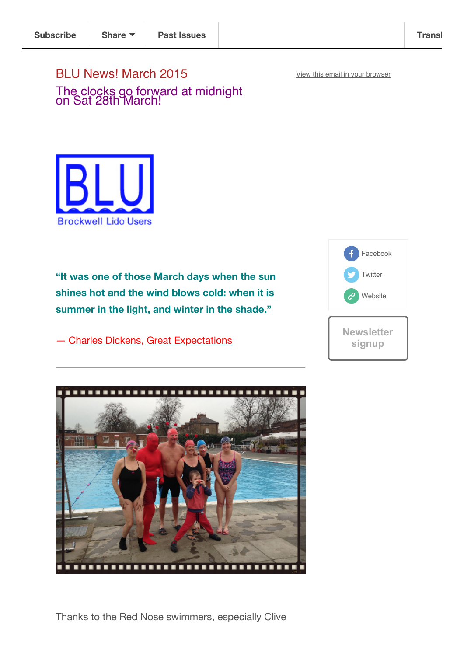View this email in your browser

BLU News! March 2015 The clocks go forward at midnight on Sat 28th March!



**"It was one of those March days when the sun shines hot and the wind blows cold: when it is summer in the light, and winter in the shade."**

― Charles Dickens, Great Expectations





Thanks to the Red Nose swimmers, especially Clive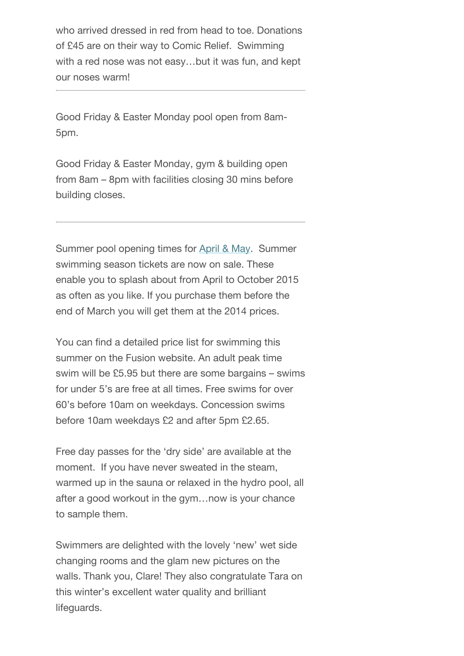who arrived dressed in red from head to toe. Donations of £45 are on their way to Comic Relief. Swimming with a red nose was not easy…but it was fun, and kept our noses warm!

Good Friday & Easter Monday pool open from 8am-5pm.

Good Friday & Easter Monday, gym & building open from 8am – 8pm with facilities closing 30 mins before building closes.

Summer pool opening times for April & May. Summer swimming season tickets are now on sale. These enable you to splash about from April to October 2015 as often as you like. If you purchase them before the end of March you will get them at the 2014 prices.

You can find a detailed price list for swimming this summer on the Fusion website. An adult peak time swim will be £5.95 but there are some bargains – swims for under 5's are free at all times. Free swims for over 60's before 10am on weekdays. Concession swims before 10am weekdays £2 and after 5pm £2.65.

Free day passes for the 'dry side' are available at the moment. If you have never sweated in the steam, warmed up in the sauna or relaxed in the hydro pool, all after a good workout in the gym…now is your chance to sample them.

Swimmers are delighted with the lovely 'new' wet side changing rooms and the glam new pictures on the walls. Thank you, Clare! They also congratulate Tara on this winter's excellent water quality and brilliant lifeguards.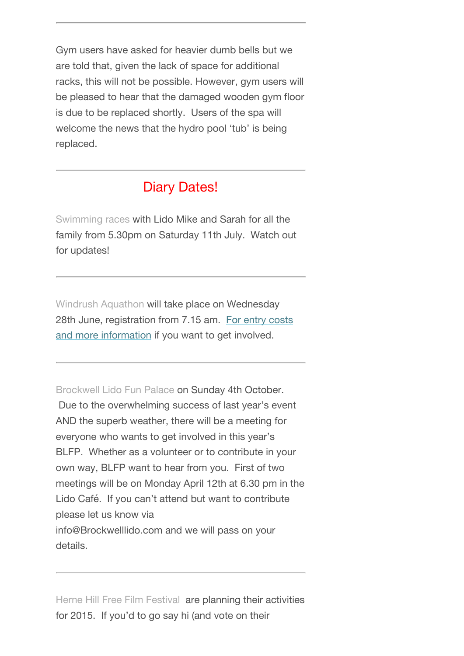Gym users have asked for heavier dumb bells but we are told that, given the lack of space for additional racks, this will not be possible. However, gym users will be pleased to hear that the damaged wooden gym floor is due to be replaced shortly. Users of the spa will welcome the news that the hydro pool 'tub' is being replaced.

## Diary Dates!

Swimming races with Lido Mike and Sarah for all the family from 5.30pm on Saturday 11th July. Watch out for updates!

Windrush Aquathon will take place on Wednesday 28th June, registration from 7.15 am. For entry costs and more information if you want to get involved.

Brockwell Lido Fun Palace on Sunday 4th October. Due to the overwhelming success of last year's event AND the superb weather, there will be a meeting for everyone who wants to get involved in this year's BLFP. Whether as a volunteer or to contribute in your own way, BLFP want to hear from you. First of two meetings will be on Monday April 12th at 6.30 pm in the Lido Café. If you can't attend but want to contribute please let us know via info@Brockwelllido.com and we will pass on your details.

Herne Hill Free Film Festival are planning their activities for 2015. If you'd to go say hi (and vote on their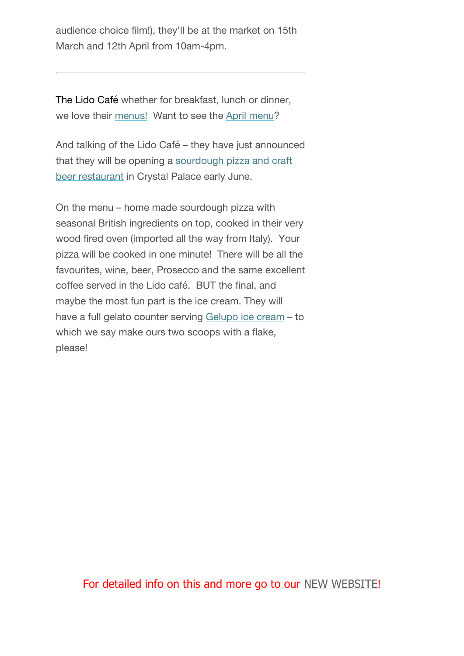audience choice film!), they'll be at the market on 15th March and 12th April from 10am-4pm.

The Lido Café whether for breakfast, lunch or dinner, we love their menus! Want to see the April menu?

And talking of the Lido Café – they have just announced that they will be opening a sourdough pizza and craft beer restaurant in Crystal Palace early June.

On the menu – home made sourdough pizza with seasonal British ingredients on top, cooked in their very wood fired oven (imported all the way from Italy). Your pizza will be cooked in one minute! There will be all the favourites, wine, beer, Prosecco and the same excellent coffee served in the Lido café. BUT the final, and maybe the most fun part is the ice cream. They will have a full gelato counter serving Gelupo ice cream – to which we say make ours two scoops with a flake, please!

## For detailed info on this and more go to our NEW WEBSITE!